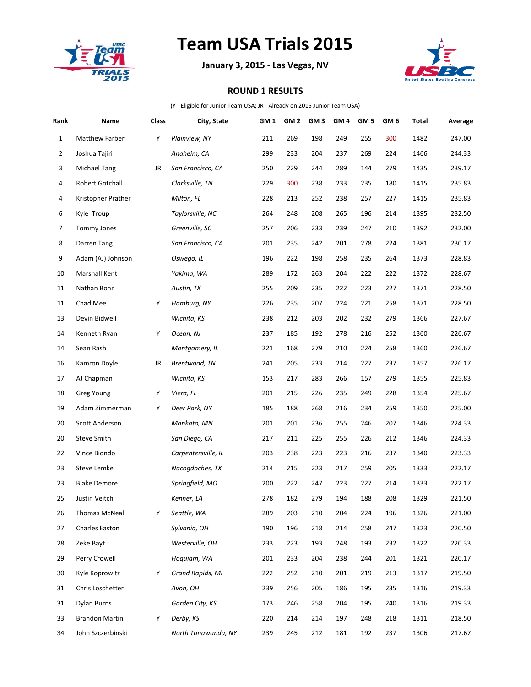

## **Team USA Trials 2015**

**January 3, 2015 - Las Vegas, NV**



## **ROUND 1 RESULTS**

(Y - Eligible for Junior Team USA; JR - Already on 2015 Junior Team USA)

| Rank           | Name                  | Class | City, State             | GM 1 | GM <sub>2</sub> | GM <sub>3</sub> | GM <sub>4</sub> | GM <sub>5</sub> | GM 6 | Total | Average |
|----------------|-----------------------|-------|-------------------------|------|-----------------|-----------------|-----------------|-----------------|------|-------|---------|
| $\mathbf{1}$   | Matthew Farber        | Y     | Plainview, NY           | 211  | 269             | 198             | 249             | 255             | 300  | 1482  | 247.00  |
| $\overline{2}$ | Joshua Tajiri         |       | Anaheim, CA             | 299  | 233             | 204             | 237             | 269             | 224  | 1466  | 244.33  |
| 3              | Michael Tang          | JR    | San Francisco, CA       | 250  | 229             | 244             | 289             | 144             | 279  | 1435  | 239.17  |
| 4              | Robert Gotchall       |       | Clarksville, TN         | 229  | 300             | 238             | 233             | 235             | 180  | 1415  | 235.83  |
| 4              | Kristopher Prather    |       | Milton, FL              | 228  | 213             | 252             | 238             | 257             | 227  | 1415  | 235.83  |
| 6              | Kyle Troup            |       | Taylorsville, NC        | 264  | 248             | 208             | 265             | 196             | 214  | 1395  | 232.50  |
| 7              | <b>Tommy Jones</b>    |       | Greenville, SC          | 257  | 206             | 233             | 239             | 247             | 210  | 1392  | 232.00  |
| 8              | Darren Tang           |       | San Francisco, CA       | 201  | 235             | 242             | 201             | 278             | 224  | 1381  | 230.17  |
| 9              | Adam (AJ) Johnson     |       | Oswego, IL              | 196  | 222             | 198             | 258             | 235             | 264  | 1373  | 228.83  |
| 10             | Marshall Kent         |       | Yakima, WA              | 289  | 172             | 263             | 204             | 222             | 222  | 1372  | 228.67  |
| 11             | Nathan Bohr           |       | Austin, TX              | 255  | 209             | 235             | 222             | 223             | 227  | 1371  | 228.50  |
| 11             | Chad Mee              | Y     | Hamburg, NY             | 226  | 235             | 207             | 224             | 221             | 258  | 1371  | 228.50  |
| 13             | Devin Bidwell         |       | Wichita, KS             | 238  | 212             | 203             | 202             | 232             | 279  | 1366  | 227.67  |
| 14             | Kenneth Ryan          | Y     | Ocean, NJ               | 237  | 185             | 192             | 278             | 216             | 252  | 1360  | 226.67  |
| 14             | Sean Rash             |       | Montgomery, IL          | 221  | 168             | 279             | 210             | 224             | 258  | 1360  | 226.67  |
| 16             | Kamron Doyle          | JR    | Brentwood, TN           | 241  | 205             | 233             | 214             | 227             | 237  | 1357  | 226.17  |
| 17             | AJ Chapman            |       | Wichita, KS             | 153  | 217             | 283             | 266             | 157             | 279  | 1355  | 225.83  |
| 18             | Greg Young            | Y     | Viera, FL               | 201  | 215             | 226             | 235             | 249             | 228  | 1354  | 225.67  |
| 19             | Adam Zimmerman        | Y     | Deer Park, NY           | 185  | 188             | 268             | 216             | 234             | 259  | 1350  | 225.00  |
| 20             | Scott Anderson        |       | Mankato, MN             | 201  | 201             | 236             | 255             | 246             | 207  | 1346  | 224.33  |
| 20             | <b>Steve Smith</b>    |       | San Diego, CA           | 217  | 211             | 225             | 255             | 226             | 212  | 1346  | 224.33  |
| 22             | Vince Biondo          |       | Carpentersville, IL     | 203  | 238             | 223             | 223             | 216             | 237  | 1340  | 223.33  |
| 23             | Steve Lemke           |       | Nacogdoches, TX         | 214  | 215             | 223             | 217             | 259             | 205  | 1333  | 222.17  |
| 23             | <b>Blake Demore</b>   |       | Springfield, MO         | 200  | 222             | 247             | 223             | 227             | 214  | 1333  | 222.17  |
| 25             | Justin Veitch         |       | Kenner, LA              | 278  | 182             | 279             | 194             | 188             | 208  | 1329  | 221.50  |
| 26             | Thomas McNeal         | Y     | Seattle, WA             | 289  | 203             | 210             | 204             | 224             | 196  | 1326  | 221.00  |
| 27             | Charles Easton        |       | Sylvania, OH            | 190  | 196             | 218             | 214             | 258             | 247  | 1323  | 220.50  |
| 28             | Zeke Bayt             |       | Westerville, OH         | 233  | 223             | 193             | 248             | 193             | 232  | 1322  | 220.33  |
| 29             | Perry Crowell         |       | Hoquiam, WA             | 201  | 233             | 204             | 238             | 244             | 201  | 1321  | 220.17  |
| 30             | Kyle Koprowitz        | Y     | <b>Grand Rapids, MI</b> | 222  | 252             | 210             | 201             | 219             | 213  | 1317  | 219.50  |
| 31             | Chris Loschetter      |       | Avon, OH                | 239  | 256             | 205             | 186             | 195             | 235  | 1316  | 219.33  |
| 31             | Dylan Burns           |       | Garden City, KS         | 173  | 246             | 258             | 204             | 195             | 240  | 1316  | 219.33  |
| 33             | <b>Brandon Martin</b> | Y     | Derby, KS               | 220  | 214             | 214             | 197             | 248             | 218  | 1311  | 218.50  |
| 34             | John Szczerbinski     |       | North Tonawanda, NY     | 239  | 245             | 212             | 181             | 192             | 237  | 1306  | 217.67  |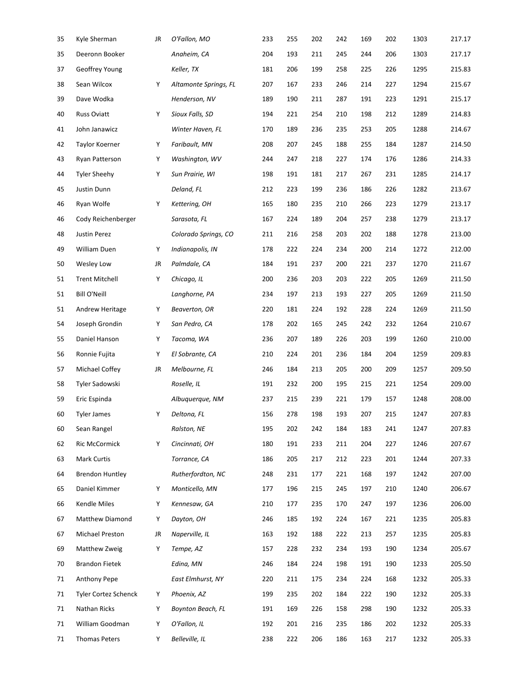| 35 | Kyle Sherman                | JR | O'Fallon, MO          | 233 | 255 | 202 | 242 | 169 | 202 | 1303 | 217.17 |
|----|-----------------------------|----|-----------------------|-----|-----|-----|-----|-----|-----|------|--------|
| 35 | Deeronn Booker              |    | Anaheim, CA           | 204 | 193 | 211 | 245 | 244 | 206 | 1303 | 217.17 |
| 37 | Geoffrey Young              |    | Keller, TX            | 181 | 206 | 199 | 258 | 225 | 226 | 1295 | 215.83 |
| 38 | Sean Wilcox                 | Y  | Altamonte Springs, FL | 207 | 167 | 233 | 246 | 214 | 227 | 1294 | 215.67 |
| 39 | Dave Wodka                  |    | Henderson, NV         | 189 | 190 | 211 | 287 | 191 | 223 | 1291 | 215.17 |
| 40 | <b>Russ Oviatt</b>          | Y  | Sioux Falls, SD       | 194 | 221 | 254 | 210 | 198 | 212 | 1289 | 214.83 |
| 41 | John Janawicz               |    | Winter Haven, FL      | 170 | 189 | 236 | 235 | 253 | 205 | 1288 | 214.67 |
| 42 | Taylor Koerner              | Υ  | Faribault, MN         | 208 | 207 | 245 | 188 | 255 | 184 | 1287 | 214.50 |
| 43 | Ryan Patterson              | Υ  | Washington, WV        | 244 | 247 | 218 | 227 | 174 | 176 | 1286 | 214.33 |
| 44 | <b>Tyler Sheehy</b>         | Υ  | Sun Prairie, WI       | 198 | 191 | 181 | 217 | 267 | 231 | 1285 | 214.17 |
| 45 | Justin Dunn                 |    | Deland, FL            | 212 | 223 | 199 | 236 | 186 | 226 | 1282 | 213.67 |
| 46 | Ryan Wolfe                  | Υ  | Kettering, OH         | 165 | 180 | 235 | 210 | 266 | 223 | 1279 | 213.17 |
| 46 | Cody Reichenberger          |    | Sarasota, FL          | 167 | 224 | 189 | 204 | 257 | 238 | 1279 | 213.17 |
| 48 | Justin Perez                |    | Colorado Springs, CO  | 211 | 216 | 258 | 203 | 202 | 188 | 1278 | 213.00 |
| 49 | William Duen                | Υ  | Indianapolis, IN      | 178 | 222 | 224 | 234 | 200 | 214 | 1272 | 212.00 |
| 50 | <b>Wesley Low</b>           | JR | Palmdale, CA          | 184 | 191 | 237 | 200 | 221 | 237 | 1270 | 211.67 |
| 51 | <b>Trent Mitchell</b>       | Υ  | Chicago, IL           | 200 | 236 | 203 | 203 | 222 | 205 | 1269 | 211.50 |
| 51 | <b>Bill O'Neill</b>         |    | Langhorne, PA         | 234 | 197 | 213 | 193 | 227 | 205 | 1269 | 211.50 |
| 51 | Andrew Heritage             | Υ  | Beaverton, OR         | 220 | 181 | 224 | 192 | 228 | 224 | 1269 | 211.50 |
| 54 | Joseph Grondin              | Υ  | San Pedro, CA         | 178 | 202 | 165 | 245 | 242 | 232 | 1264 | 210.67 |
| 55 | Daniel Hanson               | Υ  | Tacoma, WA            | 236 | 207 | 189 | 226 | 203 | 199 | 1260 | 210.00 |
| 56 | Ronnie Fujita               | Υ  | El Sobrante, CA       | 210 | 224 | 201 | 236 | 184 | 204 | 1259 | 209.83 |
| 57 | Michael Coffey              | JR | Melbourne, FL         | 246 | 184 | 213 | 205 | 200 | 209 | 1257 | 209.50 |
| 58 | Tyler Sadowski              |    | Roselle, IL           | 191 | 232 | 200 | 195 | 215 | 221 | 1254 | 209.00 |
| 59 | Eric Espinda                |    | Albuguergue, NM       | 237 | 215 | 239 | 221 | 179 | 157 | 1248 | 208.00 |
| 60 | <b>Tyler James</b>          | Υ  | Deltona, FL           | 156 | 278 | 198 | 193 | 207 | 215 | 1247 | 207.83 |
| 60 | Sean Rangel                 |    | Ralston, NE           | 195 | 202 | 242 | 184 | 183 | 241 | 1247 | 207.83 |
| 62 | <b>Ric McCormick</b>        | Υ  | Cincinnati, OH        | 180 | 191 | 233 | 211 | 204 | 227 | 1246 | 207.67 |
| 63 | <b>Mark Curtis</b>          |    | Torrance, CA          | 186 | 205 | 217 | 212 | 223 | 201 | 1244 | 207.33 |
| 64 | <b>Brendon Huntley</b>      |    | Rutherfordton, NC     | 248 | 231 | 177 | 221 | 168 | 197 | 1242 | 207.00 |
| 65 | Daniel Kimmer               | Υ  | Monticello, MN        | 177 | 196 | 215 | 245 | 197 | 210 | 1240 | 206.67 |
| 66 | Kendle Miles                | Υ  | Kennesaw, GA          | 210 | 177 | 235 | 170 | 247 | 197 | 1236 | 206.00 |
| 67 | Matthew Diamond             | Υ  | Dayton, OH            | 246 | 185 | 192 | 224 | 167 | 221 | 1235 | 205.83 |
| 67 | Michael Preston             | JR | Naperville, IL        | 163 | 192 | 188 | 222 | 213 | 257 | 1235 | 205.83 |
| 69 | Matthew Zweig               | Υ  | Tempe, AZ             | 157 | 228 | 232 | 234 | 193 | 190 | 1234 | 205.67 |
| 70 | <b>Brandon Fietek</b>       |    | Edina, MN             | 246 | 184 | 224 | 198 | 191 | 190 | 1233 | 205.50 |
| 71 | Anthony Pepe                |    | East Elmhurst, NY     | 220 | 211 | 175 | 234 | 224 | 168 | 1232 | 205.33 |
| 71 | <b>Tyler Cortez Schenck</b> | Y  | Phoenix, AZ           | 199 | 235 | 202 | 184 | 222 | 190 | 1232 | 205.33 |
| 71 | Nathan Ricks                | Υ  | Boynton Beach, FL     | 191 | 169 | 226 | 158 | 298 | 190 | 1232 | 205.33 |
| 71 | William Goodman             | Υ  | O'Fallon, IL          | 192 | 201 | 216 | 235 | 186 | 202 | 1232 | 205.33 |
| 71 | Thomas Peters               | Υ  | Belleville, IL        | 238 | 222 | 206 | 186 | 163 | 217 | 1232 | 205.33 |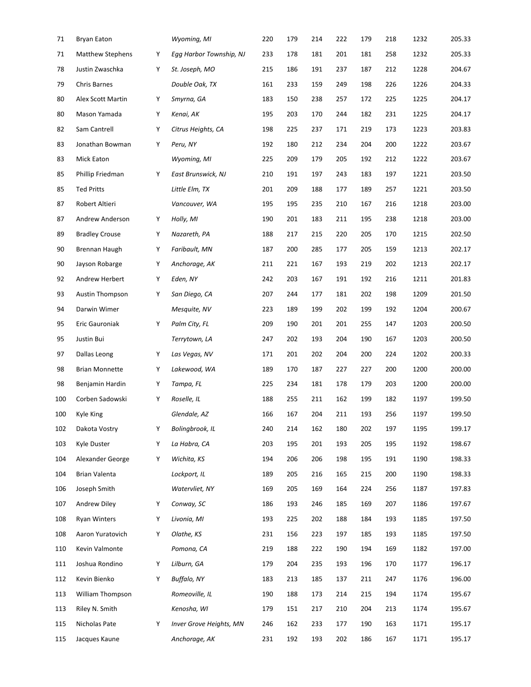| 71  | Bryan Eaton             |   | Wyoming, MI             | 220 | 179 | 214 | 222 | 179 | 218 | 1232 | 205.33 |
|-----|-------------------------|---|-------------------------|-----|-----|-----|-----|-----|-----|------|--------|
| 71  | <b>Matthew Stephens</b> | Υ | Egg Harbor Township, NJ | 233 | 178 | 181 | 201 | 181 | 258 | 1232 | 205.33 |
| 78  | Justin Zwaschka         | Υ | St. Joseph, MO          | 215 | 186 | 191 | 237 | 187 | 212 | 1228 | 204.67 |
| 79  | <b>Chris Barnes</b>     |   | Double Oak, TX          | 161 | 233 | 159 | 249 | 198 | 226 | 1226 | 204.33 |
| 80  | Alex Scott Martin       | Υ | Smyrna, GA              | 183 | 150 | 238 | 257 | 172 | 225 | 1225 | 204.17 |
| 80  | Mason Yamada            | Υ | Kenai, AK               | 195 | 203 | 170 | 244 | 182 | 231 | 1225 | 204.17 |
| 82  | Sam Cantrell            | Υ | Citrus Heights, CA      | 198 | 225 | 237 | 171 | 219 | 173 | 1223 | 203.83 |
| 83  | Jonathan Bowman         | Υ | Peru, NY                | 192 | 180 | 212 | 234 | 204 | 200 | 1222 | 203.67 |
| 83  | Mick Eaton              |   | Wyoming, MI             | 225 | 209 | 179 | 205 | 192 | 212 | 1222 | 203.67 |
| 85  | Phillip Friedman        | Υ | East Brunswick, NJ      | 210 | 191 | 197 | 243 | 183 | 197 | 1221 | 203.50 |
| 85  | <b>Ted Pritts</b>       |   | Little Elm, TX          | 201 | 209 | 188 | 177 | 189 | 257 | 1221 | 203.50 |
| 87  | Robert Altieri          |   | Vancouver, WA           | 195 | 195 | 235 | 210 | 167 | 216 | 1218 | 203.00 |
| 87  | Andrew Anderson         | Υ | Holly, MI               | 190 | 201 | 183 | 211 | 195 | 238 | 1218 | 203.00 |
| 89  | <b>Bradley Crouse</b>   | Υ | Nazareth, PA            | 188 | 217 | 215 | 220 | 205 | 170 | 1215 | 202.50 |
| 90  | Brennan Haugh           | Υ | Faribault, MN           | 187 | 200 | 285 | 177 | 205 | 159 | 1213 | 202.17 |
| 90  | Jayson Robarge          | Υ | Anchorage, AK           | 211 | 221 | 167 | 193 | 219 | 202 | 1213 | 202.17 |
| 92  | Andrew Herbert          | Υ | Eden, NY                | 242 | 203 | 167 | 191 | 192 | 216 | 1211 | 201.83 |
| 93  | <b>Austin Thompson</b>  | Υ | San Diego, CA           | 207 | 244 | 177 | 181 | 202 | 198 | 1209 | 201.50 |
| 94  | Darwin Wimer            |   | Mesquite, NV            | 223 | 189 | 199 | 202 | 199 | 192 | 1204 | 200.67 |
| 95  | Eric Gauroniak          | Υ | Palm City, FL           | 209 | 190 | 201 | 201 | 255 | 147 | 1203 | 200.50 |
| 95  | Justin Bui              |   | Terrytown, LA           | 247 | 202 | 193 | 204 | 190 | 167 | 1203 | 200.50 |
| 97  | Dallas Leong            | Υ | Las Vegas, NV           | 171 | 201 | 202 | 204 | 200 | 224 | 1202 | 200.33 |
| 98  | <b>Brian Monnette</b>   | Υ | Lakewood, WA            | 189 | 170 | 187 | 227 | 227 | 200 | 1200 | 200.00 |
| 98  | Benjamin Hardin         | Υ | Tampa, FL               | 225 | 234 | 181 | 178 | 179 | 203 | 1200 | 200.00 |
| 100 | Corben Sadowski         | Υ | Roselle, IL             | 188 | 255 | 211 | 162 | 199 | 182 | 1197 | 199.50 |
| 100 | <b>Kyle King</b>        |   | Glendale, AZ            | 166 | 167 | 204 | 211 | 193 | 256 | 1197 | 199.50 |
| 102 | Dakota Vostry           | Υ | Bolingbrook, IL         | 240 | 214 | 162 | 180 | 202 | 197 | 1195 | 199.17 |
| 103 | Kyle Duster             | Υ | La Habra, CA            | 203 | 195 | 201 | 193 | 205 | 195 | 1192 | 198.67 |
| 104 | Alexander George        | Υ | Wichita, KS             | 194 | 206 | 206 | 198 | 195 | 191 | 1190 | 198.33 |
| 104 | Brian Valenta           |   | Lockport, IL            | 189 | 205 | 216 | 165 | 215 | 200 | 1190 | 198.33 |
| 106 | Joseph Smith            |   | Watervliet, NY          | 169 | 205 | 169 | 164 | 224 | 256 | 1187 | 197.83 |
| 107 | Andrew Diley            | Υ | Conway, SC              | 186 | 193 | 246 | 185 | 169 | 207 | 1186 | 197.67 |
| 108 | <b>Ryan Winters</b>     | Υ | Livonia, MI             | 193 | 225 | 202 | 188 | 184 | 193 | 1185 | 197.50 |
| 108 | Aaron Yuratovich        | Υ | Olathe, KS              | 231 | 156 | 223 | 197 | 185 | 193 | 1185 | 197.50 |
| 110 | Kevin Valmonte          |   | Pomona, CA              | 219 | 188 | 222 | 190 | 194 | 169 | 1182 | 197.00 |
| 111 | Joshua Rondino          | Υ | Lilburn, GA             | 179 | 204 | 235 | 193 | 196 | 170 | 1177 | 196.17 |
| 112 | Kevin Bienko            | Υ | <b>Buffalo, NY</b>      | 183 | 213 | 185 | 137 | 211 | 247 | 1176 | 196.00 |
| 113 | William Thompson        |   | Romeoville, IL          | 190 | 188 | 173 | 214 | 215 | 194 | 1174 | 195.67 |
| 113 | Riley N. Smith          |   | Kenosha, WI             | 179 | 151 | 217 | 210 | 204 | 213 | 1174 | 195.67 |
| 115 | Nicholas Pate           | Υ | Inver Grove Heights, MN | 246 | 162 | 233 | 177 | 190 | 163 | 1171 | 195.17 |
| 115 | Jacques Kaune           |   | Anchorage, AK           | 231 | 192 | 193 | 202 | 186 | 167 | 1171 | 195.17 |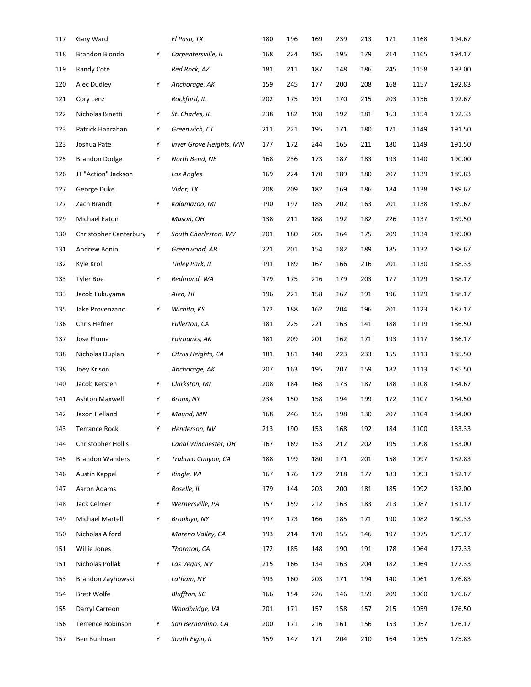| 117 | Gary Ward                     |   | El Paso, TX                    | 180 | 196 | 169 | 239 | 213 | 171 | 1168 | 194.67 |
|-----|-------------------------------|---|--------------------------------|-----|-----|-----|-----|-----|-----|------|--------|
| 118 | Brandon Biondo                | Υ | Carpentersville, IL            | 168 | 224 | 185 | 195 | 179 | 214 | 1165 | 194.17 |
| 119 | Randy Cote                    |   | Red Rock, AZ                   | 181 | 211 | 187 | 148 | 186 | 245 | 1158 | 193.00 |
| 120 | Alec Dudley                   | Y | Anchorage, AK                  | 159 | 245 | 177 | 200 | 208 | 168 | 1157 | 192.83 |
| 121 | Cory Lenz                     |   | Rockford, IL                   | 202 | 175 | 191 | 170 | 215 | 203 | 1156 | 192.67 |
| 122 | Nicholas Binetti              | Y | St. Charles, IL                | 238 | 182 | 198 | 192 | 181 | 163 | 1154 | 192.33 |
| 123 | Patrick Hanrahan              | Y | Greenwich, CT                  | 211 | 221 | 195 | 171 | 180 | 171 | 1149 | 191.50 |
| 123 | Joshua Pate                   | Y | <b>Inver Grove Heights, MN</b> | 177 | 172 | 244 | 165 | 211 | 180 | 1149 | 191.50 |
| 125 | <b>Brandon Dodge</b>          | Y | North Bend, NE                 | 168 | 236 | 173 | 187 | 183 | 193 | 1140 | 190.00 |
| 126 | JT "Action" Jackson           |   | Los Angles                     | 169 | 224 | 170 | 189 | 180 | 207 | 1139 | 189.83 |
| 127 | George Duke                   |   | Vidor, TX                      | 208 | 209 | 182 | 169 | 186 | 184 | 1138 | 189.67 |
| 127 | Zach Brandt                   | Y | Kalamazoo, MI                  | 190 | 197 | 185 | 202 | 163 | 201 | 1138 | 189.67 |
| 129 | Michael Eaton                 |   | Mason, OH                      | 138 | 211 | 188 | 192 | 182 | 226 | 1137 | 189.50 |
| 130 | <b>Christopher Canterbury</b> | Υ | South Charleston, WV           | 201 | 180 | 205 | 164 | 175 | 209 | 1134 | 189.00 |
| 131 | Andrew Bonin                  | Y | Greenwood, AR                  | 221 | 201 | 154 | 182 | 189 | 185 | 1132 | 188.67 |
| 132 | Kyle Krol                     |   | Tinley Park, IL                | 191 | 189 | 167 | 166 | 216 | 201 | 1130 | 188.33 |
| 133 | <b>Tyler Boe</b>              | Y | Redmond, WA                    | 179 | 175 | 216 | 179 | 203 | 177 | 1129 | 188.17 |
| 133 | Jacob Fukuyama                |   | Aiea, HI                       | 196 | 221 | 158 | 167 | 191 | 196 | 1129 | 188.17 |
| 135 | Jake Provenzano               | Y | Wichita, KS                    | 172 | 188 | 162 | 204 | 196 | 201 | 1123 | 187.17 |
| 136 | Chris Hefner                  |   | Fullerton, CA                  | 181 | 225 | 221 | 163 | 141 | 188 | 1119 | 186.50 |
| 137 | Jose Pluma                    |   | Fairbanks, AK                  | 181 | 209 | 201 | 162 | 171 | 193 | 1117 | 186.17 |
| 138 | Nicholas Duplan               | Y | Citrus Heights, CA             | 181 | 181 | 140 | 223 | 233 | 155 | 1113 | 185.50 |
| 138 | Joey Krison                   |   | Anchorage, AK                  | 207 | 163 | 195 | 207 | 159 | 182 | 1113 | 185.50 |
| 140 | Jacob Kersten                 | Y | Clarkston, MI                  | 208 | 184 | 168 | 173 | 187 | 188 | 1108 | 184.67 |
| 141 | <b>Ashton Maxwell</b>         | Y | Bronx, NY                      | 234 | 150 | 158 | 194 | 199 | 172 | 1107 | 184.50 |
| 142 | Jaxon Helland                 | Y | Mound, MN                      | 168 | 246 | 155 | 198 | 130 | 207 | 1104 | 184.00 |
| 143 | <b>Terrance Rock</b>          | Y | Henderson, NV                  | 213 | 190 | 153 | 168 | 192 | 184 | 1100 | 183.33 |
| 144 | Christopher Hollis            |   | Canal Winchester, OH           | 167 | 169 | 153 | 212 | 202 | 195 | 1098 | 183.00 |
| 145 | <b>Brandon Wanders</b>        | Y | Trabuco Canyon, CA             | 188 | 199 | 180 | 171 | 201 | 158 | 1097 | 182.83 |
| 146 | Austin Kappel                 | Υ | Ringle, WI                     | 167 | 176 | 172 | 218 | 177 | 183 | 1093 | 182.17 |
| 147 | Aaron Adams                   |   | Roselle, IL                    | 179 | 144 | 203 | 200 | 181 | 185 | 1092 | 182.00 |
| 148 | Jack Celmer                   | Y | Wernersville, PA               | 157 | 159 | 212 | 163 | 183 | 213 | 1087 | 181.17 |
| 149 | Michael Martell               | Y | Brooklyn, NY                   | 197 | 173 | 166 | 185 | 171 | 190 | 1082 | 180.33 |
| 150 | Nicholas Alford               |   | Moreno Valley, CA              | 193 | 214 | 170 | 155 | 146 | 197 | 1075 | 179.17 |
| 151 | Willie Jones                  |   | Thornton, CA                   | 172 | 185 | 148 | 190 | 191 | 178 | 1064 | 177.33 |
| 151 | Nicholas Pollak               | Y | Las Vegas, NV                  | 215 | 166 | 134 | 163 | 204 | 182 | 1064 | 177.33 |
| 153 | Brandon Zayhowski             |   | Latham, NY                     | 193 | 160 | 203 | 171 | 194 | 140 | 1061 | 176.83 |
| 154 | <b>Brett Wolfe</b>            |   | <b>Bluffton, SC</b>            | 166 | 154 | 226 | 146 | 159 | 209 | 1060 | 176.67 |
| 155 | Darryl Carreon                |   | Woodbridge, VA                 | 201 | 171 | 157 | 158 | 157 | 215 | 1059 | 176.50 |
| 156 | Terrence Robinson             | Y | San Bernardino, CA             | 200 | 171 | 216 | 161 | 156 | 153 | 1057 | 176.17 |
| 157 | Ben Buhlman                   | Y | South Elgin, IL                | 159 | 147 | 171 | 204 | 210 | 164 | 1055 | 175.83 |